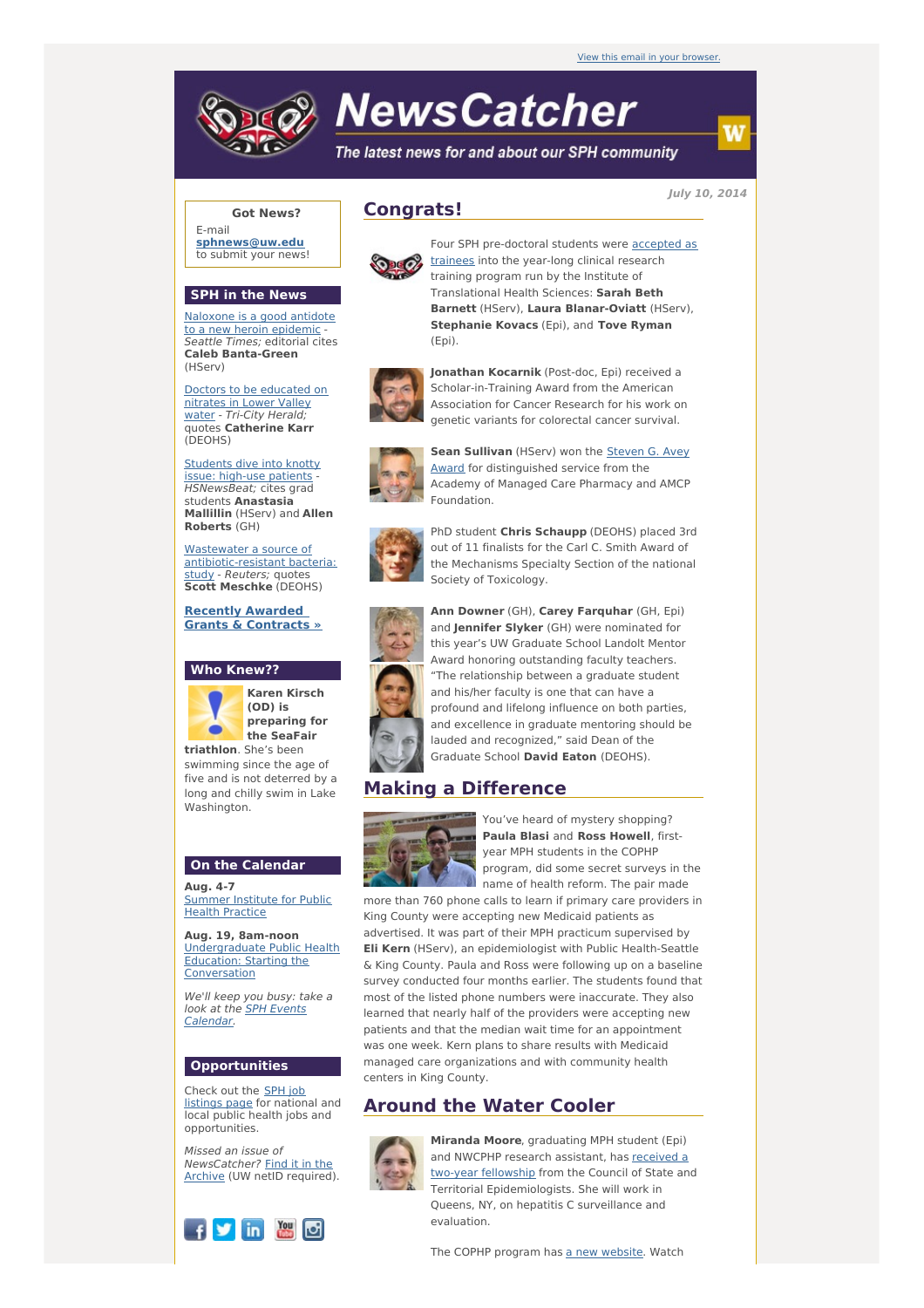# **NewsCatcher**

The latest news for and about our SPH community

**July 10, 2014**

# **Got News?**

E-mail **[sphnews@uw.edu](mailto:sphnews@uw.edu)** to submit your news!

#### **SPH in the News**

[Naloxone](http://engage.washington.edu/site/R?i=atEqjzotGmlYVGhO2W0zew) is a good antidote to a new heroin epidemic - Seattle Times; editorial cites **Caleb Banta-Green** (HServ)

Doctors to be [educated](http://engage.washington.edu/site/R?i=s5gwZ0Pk8mAsu2d5hln9pQ) on nitrates in Lower Valley water - Tri-City Herald; quotes **Catherine Karr** (DEOHS)

[Students](http://engage.washington.edu/site/R?i=ccQPMXVe4gbwsqX1_DaPbg) dive into knotty issue: high-use patients HSNewsBeat; cites grad students **Anastasia Mallillin** (HServ) and **Allen Roberts** (GH)

Wastewater a source of [antibiotic-resistant](http://engage.washington.edu/site/R?i=DljmU_D_4odOL7QpLKC7Ig) bacteria: study - Reuters; quotes **Scott Meschke** (DEOHS)

**Recently Awarded Grants & [Contracts](http://engage.washington.edu/site/R?i=XPmwD0RFjLWKHWAsJxmWOg) »**

#### **Who Knew??**



**preparing for the SeaFair**

swimming since the age of five and is not deterred by a long and chilly swim in Lake Washington.

### **On the Calendar**

**Aug. 4-7** [Summer](http://engage.washington.edu/site/R?i=IsCTUJ_E7eoKZ2_hwSmdZg) Institute for Public Health Practice

**Aug. 19, 8am-noon** [Undergraduate](http://engage.washington.edu/site/R?i=YhU4qqqQVrD1DogD9MFVPA) Public Health Education: Starting the Conversation

We'll keep you busy: take a look at the SPH Events [Calendar.](http://engage.washington.edu/site/R?i=kWwJT7gUOWMbwypblFzQ2A)

#### **Opportunities**

Check out the SPH job [listings](http://engage.washington.edu/site/R?i=pNV4oGNzSK6MxdDHnua_TQ) page for national and local public health jobs and opportunities.

Missed an issue of [NewsCatcher?](http://engage.washington.edu/site/R?i=n1_U0x3fIGu9v-AELZMTyw) Find it in the Archive (UW netID required).



# **Congrats!**



Four SPH [pre-doctoral](http://engage.washington.edu/site/R?i=1HTsz0j0yUO47cIsG8NlWQ) students were **accepted as** trainees into the year-long clinical research training program run by the Institute of Translational Health Sciences: **Sarah Beth Barnett** (HServ), **Laura Blanar-Oviatt** (HServ), **Stephanie Kovacs** (Epi), and **Tove Ryman** (Epi).



**Jonathan Kocarnik** (Post-doc, Epi) received a Scholar-in-Training Award from the American Association for Cancer Research for his work on genetic variants for colorectal cancer survival.



**Sean Sullivan** (HServ) won the Steven G. Avey Award for [distinguished](http://engage.washington.edu/site/R?i=dxsYedcUNGl05MWwONN8UQ) service from the Academy of Managed Care Pharmacy and AMCP Foundation.



PhD student **Chris Schaupp** (DEOHS) placed 3rd out of 11 finalists for the Carl C. Smith Award of the Mechanisms Specialty Section of the national Society of Toxicology.



**Ann Downer** (GH), **Carey Farquhar** (GH, Epi) and **Jennifer Slyker** (GH) were nominated for this year's UW Graduate School Landolt Mentor Award honoring outstanding faculty teachers. "The relationship between a graduate student and his/her faculty is one that can have a profound and lifelong influence on both parties, and excellence in graduate mentoring should be lauded and recognized," said Dean of the Graduate School **David Eaton** (DEOHS).

# **Making a Difference**



You've heard of mystery shopping? **Paula Blasi** and **Ross Howell**, firstyear MPH students in the COPHP program, did some secret surveys in the name of health reform. The pair made

more than 760 phone calls to learn if primary care providers in King County were accepting new Medicaid patients as advertised. It was part of their MPH practicum supervised by **Eli Kern** (HServ), an epidemiologist with Public Health-Seattle & King County. Paula and Ross were following up on a baseline survey conducted four months earlier. The students found that most of the listed phone numbers were inaccurate. They also learned that nearly half of the providers were accepting new patients and that the median wait time for an appointment was one week. Kern plans to share results with Medicaid managed care organizations and with community health centers in King County.

# **Around the Water Cooler**



**Miranda Moore**, graduating MPH student (Epi) and NWCPHP research [assistant,](http://engage.washington.edu/site/R?i=Lkvha6BQ07OPRa0YzmhHlw) has received a two-year fellowship from the Council of State and Territorial Epidemiologists. She will work in Queens, NY, on hepatitis C surveillance and evaluation.